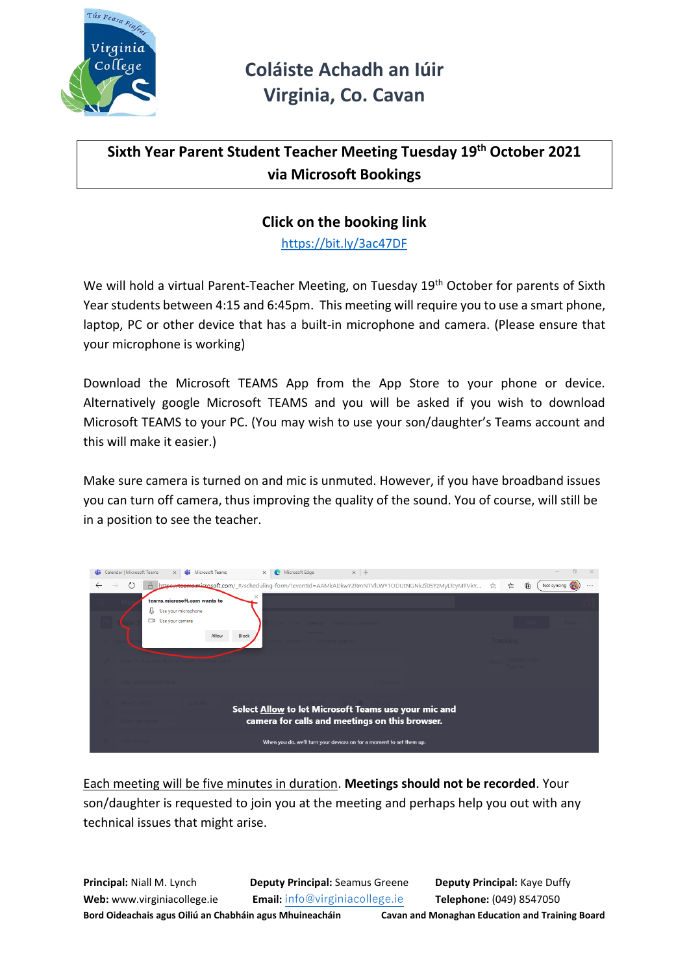

### **Sixth Year Parent Student Teacher Meeting Tuesday 19th October 2021 via Microsoft Bookings**

### **Click on the booking link**

<https://bit.ly/3ac47DF>

We will hold a virtual Parent-Teacher Meeting, on Tuesday 19<sup>th</sup> October for parents of Sixth Year students between 4:15 and 6:45pm. This meeting will require you to use a smart phone, laptop, PC or other device that has a built-in microphone and camera. (Please ensure that your microphone is working)

Download the Microsoft TEAMS App from the App Store to your phone or device. Alternatively google Microsoft TEAMS and you will be asked if you wish to download Microsoft TEAMS to your PC. (You may wish to use your son/daughter's Teams account and this will make it easier.)

Make sure camera is turned on and mic is unmuted. However, if you have broadband issues you can turn off camera, thus improving the quality of the sound. You of course, will still be in a position to see the teacher.



Each meeting will be five minutes in duration. **Meetings should not be recorded**. Your son/daughter is requested to join you at the meeting and perhaps help you out with any technical issues that might arise.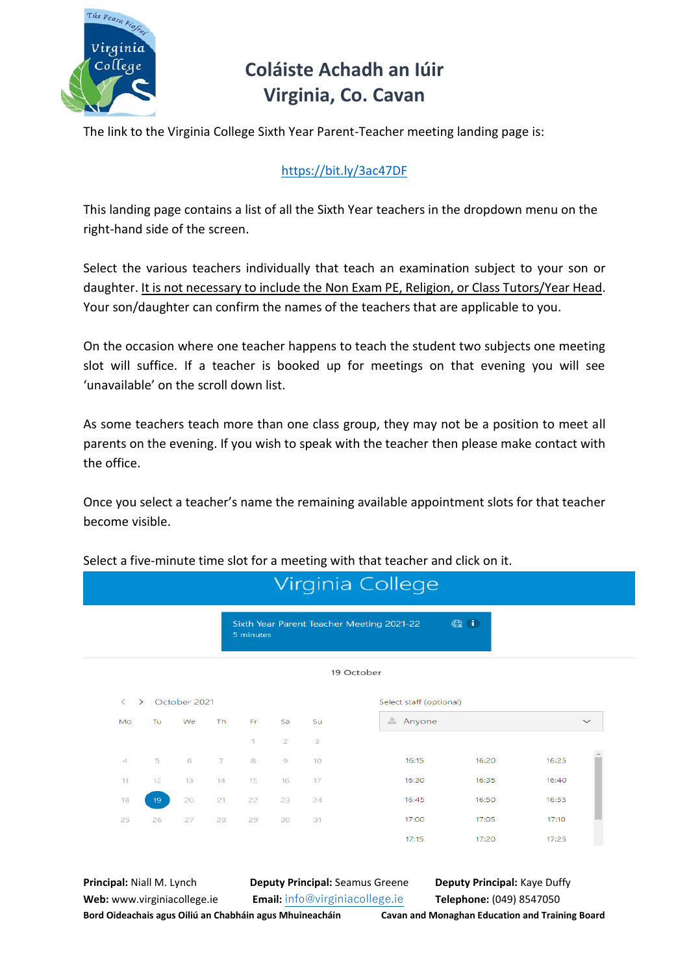

The link to the Virginia College Sixth Year Parent-Teacher meeting landing page is:

#### <https://bit.ly/3ac47DF>

This landing page contains a list of all the Sixth Year teachers in the dropdown menu on the right-hand side of the screen.

Select the various teachers individually that teach an examination subject to your son or daughter. It is not necessary to include the Non Exam PE, Religion, or Class Tutors/Year Head. Your son/daughter can confirm the names of the teachers that are applicable to you.

On the occasion where one teacher happens to teach the student two subjects one meeting slot will suffice. If a teacher is booked up for meetings on that evening you will see 'unavailable' on the scroll down list.

As some teachers teach more than one class group, they may not be a position to meet all parents on the evening. If you wish to speak with the teacher then please make contact with the office.

Once you select a teacher's name the remaining available appointment slots for that teacher become visible.

|                       |           | 5 minutes    |                |                 | Sixth Year Parent Teacher Meeting 2021-22 | $\bigoplus$ (i) |                         |
|-----------------------|-----------|--------------|----------------|-----------------|-------------------------------------------|-----------------|-------------------------|
|                       |           |              |                |                 |                                           |                 |                         |
|                       |           |              |                |                 | 19 October                                |                 |                         |
|                       |           |              |                |                 |                                           |                 |                         |
| Tu.<br>We             | <b>Th</b> | Fr.          | Sa             | Su              | Anyone                                    |                 | $\checkmark$            |
|                       |           | $\mathbf{1}$ | 2              | 3               |                                           |                 |                         |
| 5<br>6                | 7         | 8            | $\overline{9}$ | 10 <sup>°</sup> | 16:15                                     | 16:20           | 16:25                   |
| 13<br>12 <sub>2</sub> | 14        | 15           | 16             | 17              | 16:30                                     | 16:35           | 16:40                   |
| 20<br>19 <sup>°</sup> | 21        | 22           | 23             | 24              | 16:45                                     | 16:50           | 16:55                   |
| 26<br>27              | 28        | 29           | 30             | 31              | 17:00                                     | 17:05           | 17:10                   |
|                       |           |              |                |                 | 17:15                                     | 17:20           | 17:25                   |
|                       |           | October 2021 |                |                 |                                           |                 | Select staff (optional) |

Select a five-minute time slot for a meeting with that teacher and click on it.

**Principal:** Niall M. Lynch **Deputy Principal:** Seamus Greene **Deputy Principal:** Kaye Duffy

**Web:** www.virginiacollege.ie **Email:** [info@virginiacollege.ie](mailto:info@virginiacollege.ie) **Telephone:** (049) 8547050

**Bord Oideachais agus Oiliú an Chabháin agus Mhuineacháin Cavan and Monaghan Education and Training Board**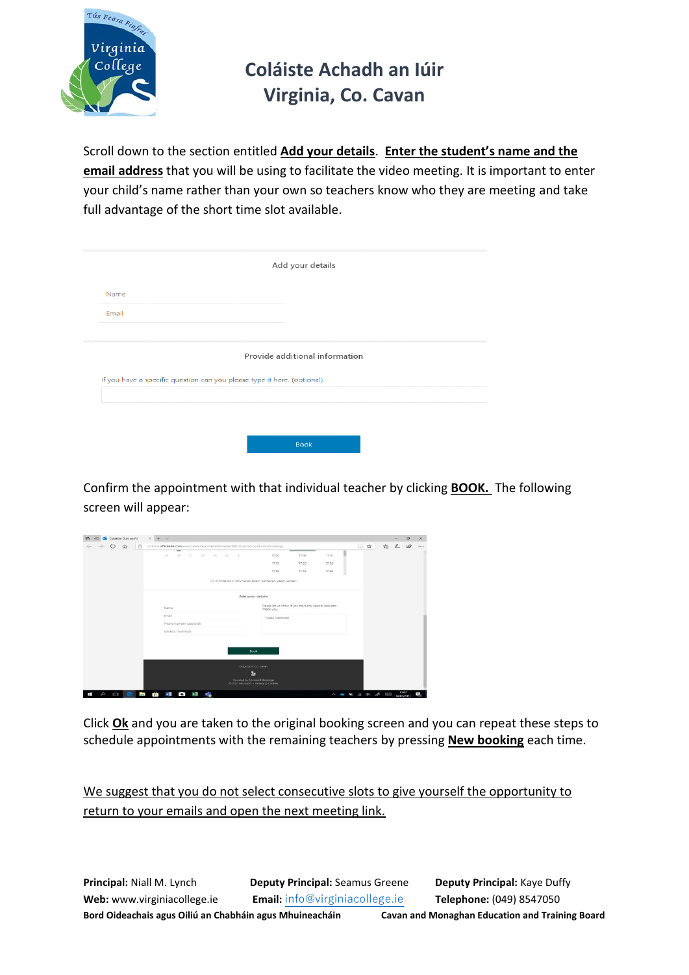

Scroll down to the section entitled **Add your details**. **Enter the student's name and the email address** that you will be using to facilitate the video meeting. It is important to enter your child's name rather than your own so teachers know who they are meeting and take full advantage of the short time slot available.

|                                                                         |                                | Add your details |  |
|-------------------------------------------------------------------------|--------------------------------|------------------|--|
| Name                                                                    |                                |                  |  |
| Email                                                                   |                                |                  |  |
|                                                                         | Provide additional information |                  |  |
| If you have a specific question can you please type it here. (optional) |                                |                  |  |
|                                                                         |                                |                  |  |
|                                                                         |                                |                  |  |

Confirm the appointment with that individual teacher by clicking **BOOK.** The following screen will appear:

| た え 田<br>□ ☆<br>$\rightarrow$ 0<br>ô<br>$\widehat{w}$<br>outlook.office365.com/owa/calendar/ColasteDnaoR@CMETB.ommicrosoft.com/bookings<br>$\overline{\phantom{a}}$<br>$27 -$<br>17:00<br>17:05<br>17:10<br>$-25$<br>28 29 30 31<br>26.<br>17:15<br>17:20<br>17:25<br>17.30<br>17:35<br>17:40<br>C All times are in (UTC+00:00) Dublin, Edinburgh, Liabon, London<br>Add your details<br>Please let us know if you have any special requests.<br>Name<br>Thank you.<br>Email<br>Notes (optional)<br>Phone number (optional) | Colaiste Dún an Rí | $x + v$ |                                                                       |  |  | $\sigma$ | $\times$     |
|-----------------------------------------------------------------------------------------------------------------------------------------------------------------------------------------------------------------------------------------------------------------------------------------------------------------------------------------------------------------------------------------------------------------------------------------------------------------------------------------------------------------------------|--------------------|---------|-----------------------------------------------------------------------|--|--|----------|--------------|
|                                                                                                                                                                                                                                                                                                                                                                                                                                                                                                                             | ÷                  |         |                                                                       |  |  |          | $\mathbf{z}$ |
|                                                                                                                                                                                                                                                                                                                                                                                                                                                                                                                             |                    |         |                                                                       |  |  |          |              |
|                                                                                                                                                                                                                                                                                                                                                                                                                                                                                                                             |                    |         |                                                                       |  |  |          |              |
|                                                                                                                                                                                                                                                                                                                                                                                                                                                                                                                             |                    |         |                                                                       |  |  |          |              |
|                                                                                                                                                                                                                                                                                                                                                                                                                                                                                                                             |                    |         |                                                                       |  |  |          |              |
|                                                                                                                                                                                                                                                                                                                                                                                                                                                                                                                             |                    |         |                                                                       |  |  |          |              |
|                                                                                                                                                                                                                                                                                                                                                                                                                                                                                                                             |                    |         |                                                                       |  |  |          |              |
|                                                                                                                                                                                                                                                                                                                                                                                                                                                                                                                             |                    |         |                                                                       |  |  |          |              |
|                                                                                                                                                                                                                                                                                                                                                                                                                                                                                                                             |                    |         |                                                                       |  |  |          |              |
| Address (optional)                                                                                                                                                                                                                                                                                                                                                                                                                                                                                                          |                    |         |                                                                       |  |  |          |              |
|                                                                                                                                                                                                                                                                                                                                                                                                                                                                                                                             |                    |         | Book                                                                  |  |  |          |              |
|                                                                                                                                                                                                                                                                                                                                                                                                                                                                                                                             |                    |         | Kingscourt, Co. Cavan                                                 |  |  |          |              |
|                                                                                                                                                                                                                                                                                                                                                                                                                                                                                                                             |                    |         | ь                                                                     |  |  |          |              |
|                                                                                                                                                                                                                                                                                                                                                                                                                                                                                                                             |                    |         | Powered by Microsoft Bookings<br>C 2021 Microsoft . Privacy & Cookies |  |  |          |              |
|                                                                                                                                                                                                                                                                                                                                                                                                                                                                                                                             |                    |         |                                                                       |  |  |          |              |

Click **Ok** and you are taken to the original booking screen and you can repeat these steps to schedule appointments with the remaining teachers by pressing **New booking** each time.

We suggest that you do not select consecutive slots to give yourself the opportunity to return to your emails and open the next meeting link.